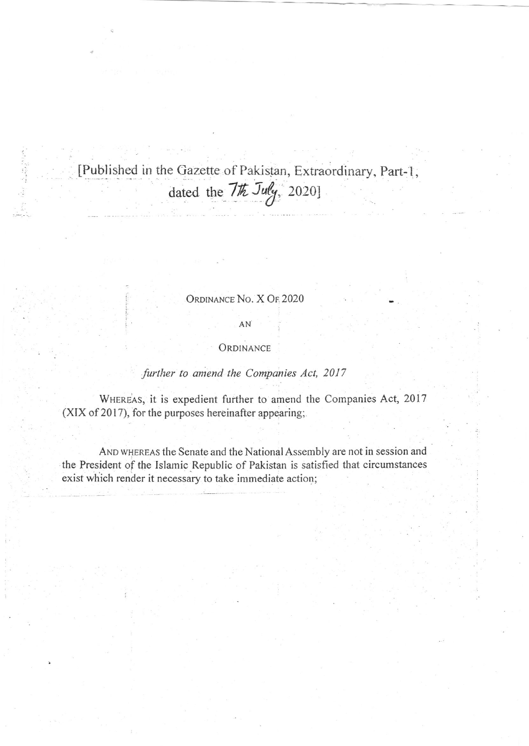[Published in the Gazette of Pakistan, Extraordinary, Parr-1, dated the  $7\frac{\pi}{2}$  July, 2020]

## ORDINANCE No. X OF 2020

## AN

## ORDINANCE

## further to amend the Companies Act, 2017

WHEREAS, it is expedient further to amend the Companies Act, 2017  $(XIX of 2017)$ , for the purposes hereinafter appearing;

AND WHEREAS the Senate and the National Assembly are not in session and the President of the Islamic.Republic of Pakistan is satisfied that circumstances exist which render it necessary to take imrnediate action;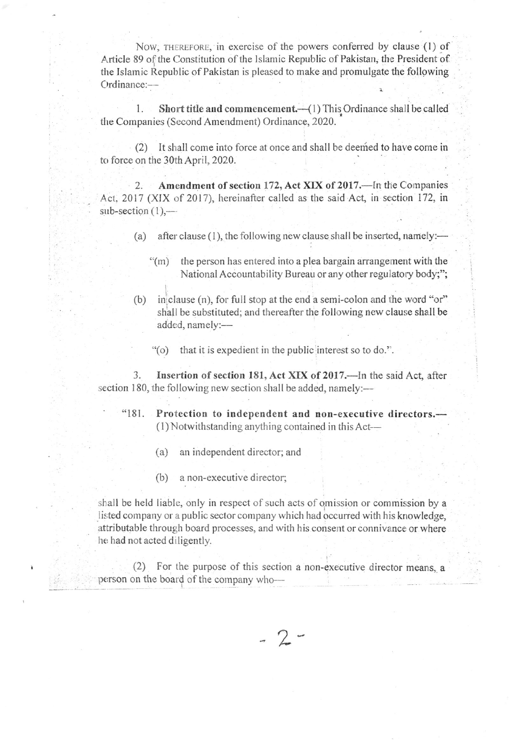Now, THEREFORE, in exercise of the powers conferred by clause (1) of Article 89 of the Constitution of the Islamic Republic of Pakistan, the President of the Islarnic Republic of Pakistan is pleased to make and promulgato the following Ordinance:-

1. Short title and commencement. (1) This Ordinance shall be called the Companies (Second Amendment) Ordinance, 2020.

(2) It shall come into force at once and shall be deeried to have come in to force on the 30th April, 2020.

2. Amendment of section 172, Act XIX of 2017.—In the Companies Act. 2017 (XIX of 2017), hereinafter called as the said Act, in section 172, in  $sub-section (1)$ ,---

- (a) after clause (1), the following new clause shall be inserted, namely:—
	- $\degree$ (m) the person has entered into a plea bargain arrangement with the National Accountability Bureau or any other regulatory body;";
- (b) in clause (n), for full stop at the end a semi-colon and the word "or" shall be substituted; and thereafter the following new clause shall be added, namely:-
	- '{o) that it is expedient in the public interest so to do.".

3. Insertion of section 181, Act XIX of 2017.—In the said Act, after section 180, the following new section shall be added, namely:-

- "181. Protection to independent and non-executive directors.-  $(1)$  Notwithstanding anything contained in this Act--
	- (a) an independent director; and
	- $(b)$  a non-executive director;

shall be held liable, only in respect of such acts of omission or commission by a listed company or a public sector company which had occurred with his knowledge, attributable through board processes, and with his consent or connivance or where he had not acted diligently.

(2) For the purpose of this section a non-executive director means, a person on the board of the company who-

> $\hat{2}$ /-